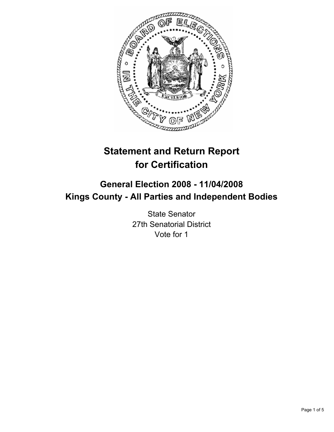

# **Statement and Return Report for Certification**

## **General Election 2008 - 11/04/2008 Kings County - All Parties and Independent Bodies**

State Senator 27th Senatorial District Vote for 1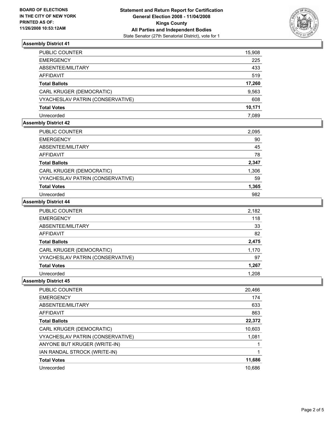

### **Assembly District 41**

| PUBLIC COUNTER                   | 15,908 |
|----------------------------------|--------|
| EMERGENCY                        | 225    |
| ABSENTEE/MILITARY                | 433    |
| AFFIDAVIT                        | 519    |
| <b>Total Ballots</b>             | 17,260 |
| CARL KRUGER (DEMOCRATIC)         | 9,563  |
| VYACHESLAV PATRIN (CONSERVATIVE) | 608    |
| Total Votes                      | 10,171 |
| Unrecorded                       | 7.089  |

### **Assembly District 42**

| PUBLIC COUNTER                   | 2,095 |
|----------------------------------|-------|
| <b>EMERGENCY</b>                 | 90    |
| ABSENTEE/MILITARY                | 45    |
| <b>AFFIDAVIT</b>                 | 78    |
| <b>Total Ballots</b>             | 2,347 |
| CARL KRUGER (DEMOCRATIC)         | 1,306 |
| VYACHESLAV PATRIN (CONSERVATIVE) | 59    |
| <b>Total Votes</b>               | 1,365 |
| Unrecorded                       | 982   |

### **Assembly District 44**

| PUBLIC COUNTER                   | 2,182 |
|----------------------------------|-------|
| <b>EMERGENCY</b>                 | 118   |
| ABSENTEE/MILITARY                | 33    |
| <b>AFFIDAVIT</b>                 | 82    |
| <b>Total Ballots</b>             | 2,475 |
| CARL KRUGER (DEMOCRATIC)         | 1,170 |
| VYACHESLAV PATRIN (CONSERVATIVE) | 97    |
| <b>Total Votes</b>               | 1,267 |
| Unrecorded                       | 1.208 |

#### **Assembly District 45**

| <b>PUBLIC COUNTER</b>            | 20,466 |
|----------------------------------|--------|
| <b>EMERGENCY</b>                 | 174    |
| ABSENTEE/MILITARY                | 633    |
| AFFIDAVIT                        | 863    |
| <b>Total Ballots</b>             | 22,372 |
| CARL KRUGER (DEMOCRATIC)         | 10,603 |
| VYACHESLAV PATRIN (CONSERVATIVE) | 1,081  |
| ANYONE BUT KRUGER (WRITE-IN)     |        |
| IAN RANDAL STROCK (WRITE-IN)     |        |
| <b>Total Votes</b>               | 11,686 |
| Unrecorded                       | 10,686 |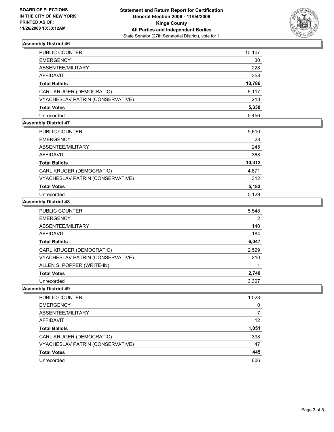

### **Assembly District 46**

| PUBLIC COUNTER                   | 10,107 |
|----------------------------------|--------|
| EMERGENCY                        | 30     |
| ABSENTEE/MILITARY                | 228    |
| AFFIDAVIT                        | 358    |
| Total Ballots                    | 10,786 |
| CARL KRUGER (DEMOCRATIC)         | 5,117  |
| VYACHESLAV PATRIN (CONSERVATIVE) | 213    |
| Total Votes                      | 5,330  |
| Unrecorded                       | 5.456  |

### **Assembly District 47**

| PUBLIC COUNTER                   | 9,610  |
|----------------------------------|--------|
| <b>EMERGENCY</b>                 | 28     |
| ABSENTEE/MILITARY                | 245    |
| <b>AFFIDAVIT</b>                 | 368    |
| <b>Total Ballots</b>             | 10,312 |
| CARL KRUGER (DEMOCRATIC)         | 4,871  |
| VYACHESLAV PATRIN (CONSERVATIVE) | 312    |
| <b>Total Votes</b>               | 5,183  |
| Unrecorded                       | 5.129  |

#### **Assembly District 48**

| PUBLIC COUNTER                   | 5,548 |
|----------------------------------|-------|
| <b>EMERGENCY</b>                 |       |
| ABSENTEE/MILITARY                | 140   |
| AFFIDAVIT                        | 184   |
| <b>Total Ballots</b>             | 6,047 |
| CARL KRUGER (DEMOCRATIC)         | 2,529 |
| VYACHESLAV PATRIN (CONSERVATIVE) | 210   |
| ALLEN S. POPPER (WRITE-IN)       |       |
| <b>Total Votes</b>               | 2,740 |
| Unrecorded                       | 3.307 |

### **Assembly District 49**

| PUBLIC COUNTER                   | 1,023 |
|----------------------------------|-------|
| <b>EMERGENCY</b>                 |       |
| ABSENTEE/MILITARY                |       |
| <b>AFFIDAVIT</b>                 | 12    |
| <b>Total Ballots</b>             | 1,051 |
| CARL KRUGER (DEMOCRATIC)         | 398   |
| VYACHESLAV PATRIN (CONSERVATIVE) | 47    |
| <b>Total Votes</b>               | 445   |
| Unrecorded                       | 606   |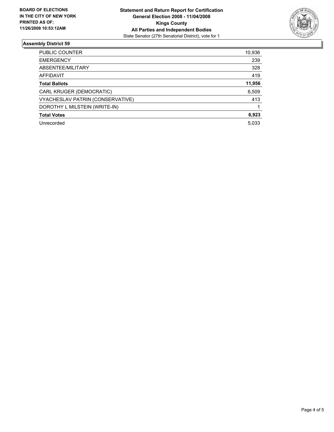

### **Assembly District 59**

| PUBLIC COUNTER                   | 10,936 |
|----------------------------------|--------|
| <b>EMERGENCY</b>                 | 239    |
| ABSENTEE/MILITARY                | 328    |
| <b>AFFIDAVIT</b>                 | 419    |
| <b>Total Ballots</b>             | 11,956 |
| CARL KRUGER (DEMOCRATIC)         | 6,509  |
| VYACHESLAV PATRIN (CONSERVATIVE) | 413    |
| DOROTHY L MILSTEIN (WRITE-IN)    |        |
| <b>Total Votes</b>               | 6,923  |
| Unrecorded                       | 5,033  |